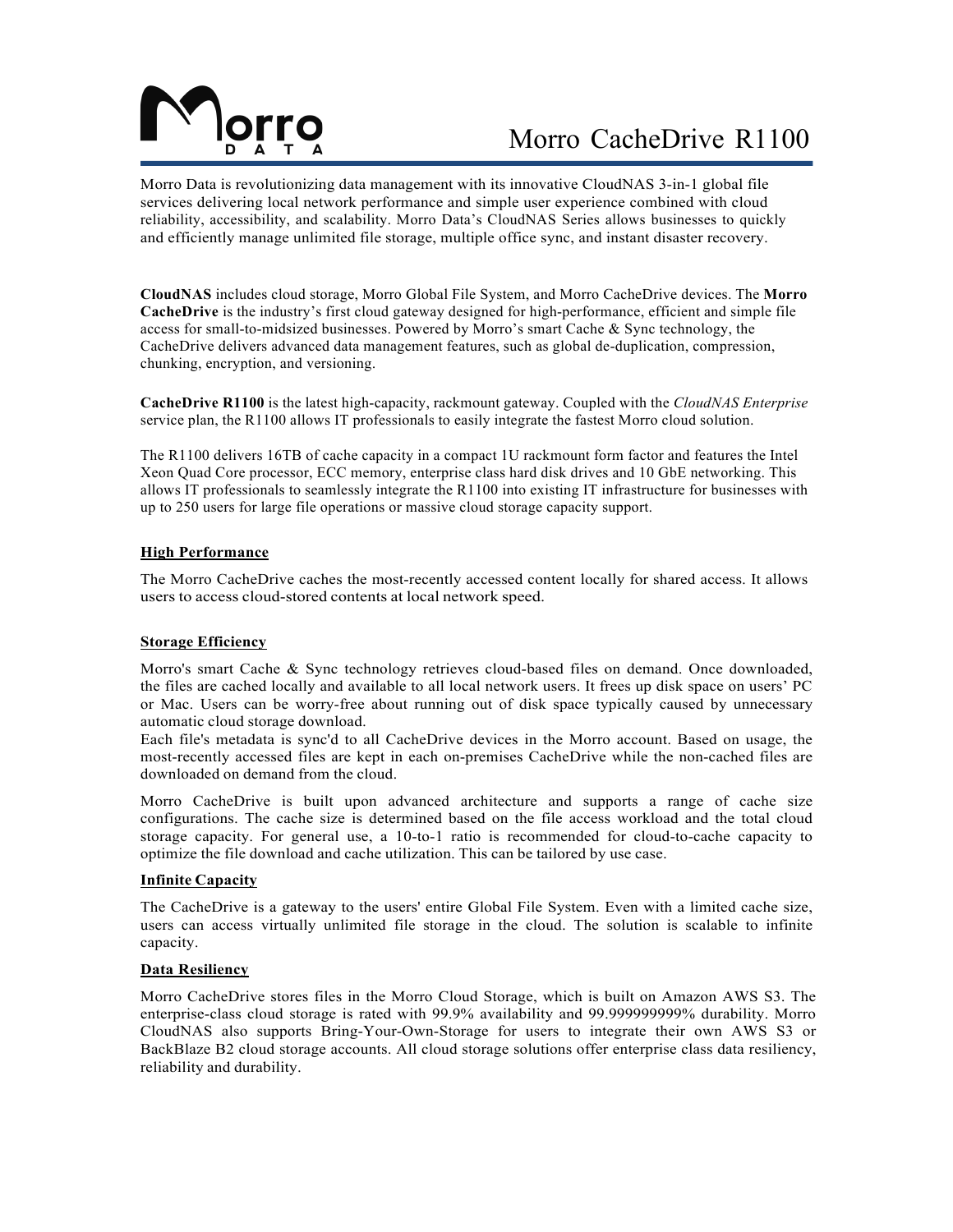

# Morro CacheDrive R1100

Morro Data is revolutionizing data management with its innovative CloudNAS 3-in-1 global file services delivering local network performance and simple user experience combined with cloud reliability, accessibility, and scalability. Morro Data's CloudNAS Series allows businesses to quickly and efficiently manage unlimited file storage, multiple office sync, and instant disaster recovery.

**CloudNAS** includes cloud storage, Morro Global File System, and Morro CacheDrive devices. The **Morro CacheDrive** is the industry's first cloud gateway designed for high-performance, efficient and simple file access for small-to-midsized businesses. Powered by Morro's smart Cache & Sync technology, the CacheDrive delivers advanced data management features, such as global de-duplication, compression, chunking, encryption, and versioning.

**CacheDrive R1100** is the latest high-capacity, rackmount gateway. Coupled with the *CloudNAS Enterprise* service plan, the R1100 allows IT professionals to easily integrate the fastest Morro cloud solution.

The R1100 delivers 16TB of cache capacity in a compact 1U rackmount form factor and features the Intel Xeon Quad Core processor, ECC memory, enterprise class hard disk drives and 10 GbE networking. This allows IT professionals to seamlessly integrate the R1100 into existing IT infrastructure for businesses with up to 250 users for large file operations or massive cloud storage capacity support.

### **High Performance**

The Morro CacheDrive caches the most-recently accessed content locally for shared access. It allows users to access cloud-stored contents at local network speed.

### **Storage Efficiency**

Morro's smart Cache & Sync technology retrieves cloud-based files on demand. Once downloaded, the files are cached locally and available to all local network users. It frees up disk space on users' PC or Mac. Users can be worry-free about running out of disk space typically caused by unnecessary automatic cloud storage download.

Each file's metadata is sync'd to all CacheDrive devices in the Morro account. Based on usage, the most-recently accessed files are kept in each on-premises CacheDrive while the non-cached files are downloaded on demand from the cloud.

Morro CacheDrive is built upon advanced architecture and supports a range of cache size configurations. The cache size is determined based on the file access workload and the total cloud storage capacity. For general use, a 10-to-1 ratio is recommended for cloud-to-cache capacity to optimize the file download and cache utilization. This can be tailored by use case.

### **Infinite Capacity**

The CacheDrive is a gateway to the users' entire Global File System. Even with a limited cache size, users can access virtually unlimited file storage in the cloud. The solution is scalable to infinite capacity.

## **Data Resiliency**

Morro CacheDrive stores files in the Morro Cloud Storage, which is built on Amazon AWS S3. The enterprise-class cloud storage is rated with 99.9% availability and 99.999999999% durability. Morro CloudNAS also supports Bring-Your-Own-Storage for users to integrate their own AWS S3 or BackBlaze B2 cloud storage accounts. All cloud storage solutions offer enterprise class data resiliency, reliability and durability.